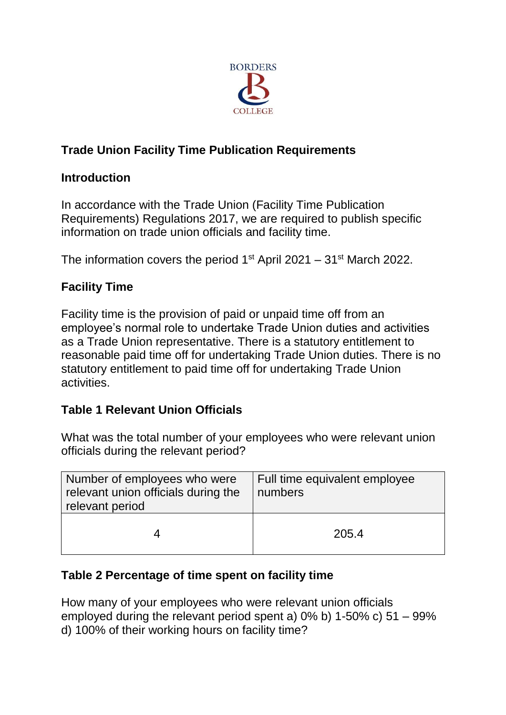

# **Trade Union Facility Time Publication Requirements**

### **Introduction**

In accordance with the Trade Union (Facility Time Publication Requirements) Regulations 2017, we are required to publish specific information on trade union officials and facility time.

The information covers the period  $1<sup>st</sup>$  April 2021 – 31 $<sup>st</sup>$  March 2022.</sup>

## **Facility Time**

Facility time is the provision of paid or unpaid time off from an employee's normal role to undertake Trade Union duties and activities as a Trade Union representative. There is a statutory entitlement to reasonable paid time off for undertaking Trade Union duties. There is no statutory entitlement to paid time off for undertaking Trade Union activities.

## **Table 1 Relevant Union Officials**

What was the total number of your employees who were relevant union officials during the relevant period?

| Number of employees who were<br>relevant union officials during the<br>relevant period | Full time equivalent employee<br>numbers |
|----------------------------------------------------------------------------------------|------------------------------------------|
| 4                                                                                      | 205.4                                    |

### **Table 2 Percentage of time spent on facility time**

How many of your employees who were relevant union officials employed during the relevant period spent a) 0% b) 1-50% c) 51 – 99% d) 100% of their working hours on facility time?